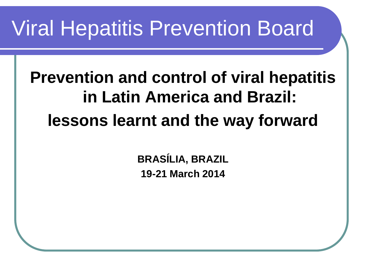### Viral Hepatitis Prevention Board

#### **Prevention and control of viral hepatitis in Latin America and Brazil: lessons learnt and the way forward**

**BRASÍLIA, BRAZIL 19-21 March 2014**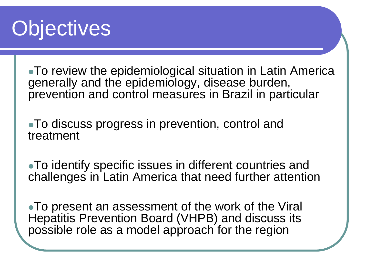### **Objectives**

To review the epidemiological situation in Latin America generally and the epidemiology, disease burden, prevention and control measures in Brazil in particular

To discuss progress in prevention, control and treatment

To identify specific issues in different countries and challenges in Latin America that need further attention

To present an assessment of the work of the Viral Hepatitis Prevention Board (VHPB) and discuss its possible role as a model approach for the region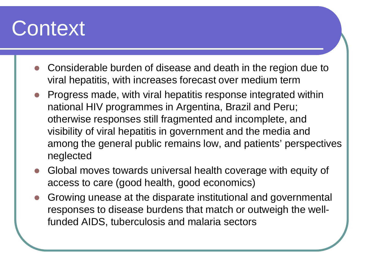#### **Context**

- Considerable burden of disease and death in the region due to viral hepatitis, with increases forecast over medium term
- Progress made, with viral hepatitis response integrated within national HIV programmes in Argentina, Brazil and Peru; otherwise responses still fragmented and incomplete, and visibility of viral hepatitis in government and the media and among the general public remains low, and patients' perspectives neglected
- Global moves towards universal health coverage with equity of access to care (good health, good economics)
- Growing unease at the disparate institutional and governmental responses to disease burdens that match or outweigh the wellfunded AIDS, tuberculosis and malaria sectors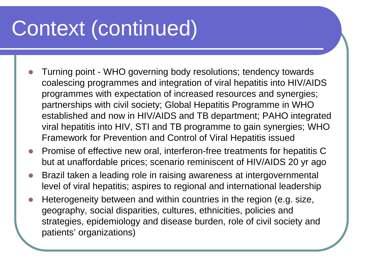## Context (continued)

- Turning point WHO governing body resolutions; tendency towards coalescing programmes and integration of viral hepatitis into HIV/AIDS programmes with expectation of increased resources and synergies; partnerships with civil society; Global Hepatitis Programme in WHO established and now in HIV/AIDS and TB department; PAHO integrated viral hepatitis into HIV, STI and TB programme to gain synergies; WHO Framework for Prevention and Control of Viral Hepatitis issued
- Promise of effective new oral, interferon-free treatments for hepatitis C but at unaffordable prices; scenario reminiscent of HIV/AIDS 20 yr ago
- Brazil taken a leading role in raising awareness at intergovernmental level of viral hepatitis; aspires to regional and international leadership
- Heterogeneity between and within countries in the region (e.g. size, geography, social disparities, cultures, ethnicities, policies and strategies, epidemiology and disease burden, role of civil society and patients' organizations)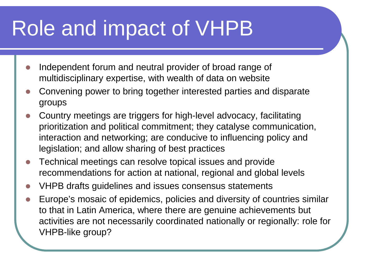# Role and impact of VHPB

- Independent forum and neutral provider of broad range of multidisciplinary expertise, with wealth of data on website
- Convening power to bring together interested parties and disparate groups
- Country meetings are triggers for high-level advocacy, facilitating prioritization and political commitment; they catalyse communication, interaction and networking; are conducive to influencing policy and legislation; and allow sharing of best practices
- Technical meetings can resolve topical issues and provide recommendations for action at national, regional and global levels
- VHPB drafts guidelines and issues consensus statements
- Europe's mosaic of epidemics, policies and diversity of countries similar to that in Latin America, where there are genuine achievements but activities are not necessarily coordinated nationally or regionally: role for VHPB-like group?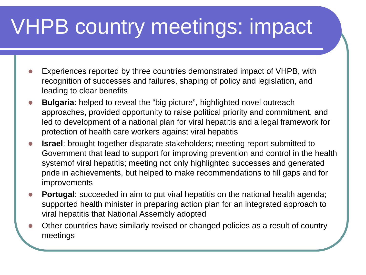# VHPB country meetings: impact

- Experiences reported by three countries demonstrated impact of VHPB, with recognition of successes and failures, shaping of policy and legislation, and leading to clear benefits
- **Bulgaria**: helped to reveal the "big picture", highlighted novel outreach approaches, provided opportunity to raise political priority and commitment, and led to development of a national plan for viral hepatitis and a legal framework for protection of health care workers against viral hepatitis
- **Israel**: brought together disparate stakeholders; meeting report submitted to Government that lead to support for improving prevention and control in the health systemof viral hepatitis; meeting not only highlighted successes and generated pride in achievements, but helped to make recommendations to fill gaps and for improvements
- **Portugal:** succeeded in aim to put viral hepatitis on the national health agenda; supported health minister in preparing action plan for an integrated approach to viral hepatitis that National Assembly adopted
- Other countries have similarly revised or changed policies as a result of country meetings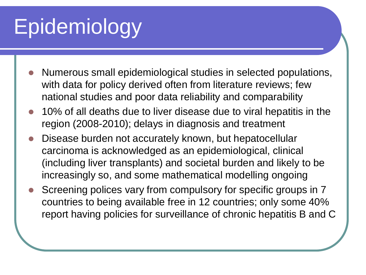# Epidemiology

- Numerous small epidemiological studies in selected populations, with data for policy derived often from literature reviews; few national studies and poor data reliability and comparability
- 10% of all deaths due to liver disease due to viral hepatitis in the region (2008-2010); delays in diagnosis and treatment
- Disease burden not accurately known, but hepatocellular carcinoma is acknowledged as an epidemiological, clinical (including liver transplants) and societal burden and likely to be increasingly so, and some mathematical modelling ongoing
- Screening polices vary from compulsory for specific groups in 7 countries to being available free in 12 countries; only some 40% report having policies for surveillance of chronic hepatitis B and C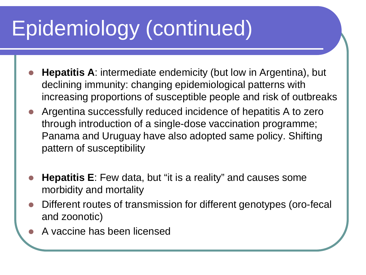# Epidemiology (continued)

- **Hepatitis A**: intermediate endemicity (but low in Argentina), but declining immunity: changing epidemiological patterns with increasing proportions of susceptible people and risk of outbreaks
- Argentina successfully reduced incidence of hepatitis A to zero through introduction of a single-dose vaccination programme; Panama and Uruguay have also adopted same policy. Shifting pattern of susceptibility
- **Hepatitis E**: Few data, but "it is a reality" and causes some morbidity and mortality
- Different routes of transmission for different genotypes (oro-fecal and zoonotic)
- A vaccine has been licensed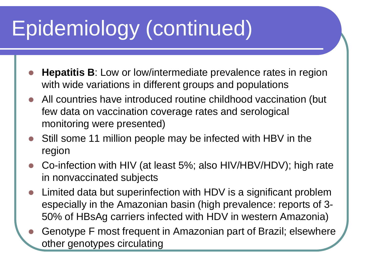# Epidemiology (continued)

- **Hepatitis B**: Low or low/intermediate prevalence rates in region with wide variations in different groups and populations
- All countries have introduced routine childhood vaccination (but few data on vaccination coverage rates and serological monitoring were presented)
- Still some 11 million people may be infected with HBV in the region
- Co-infection with HIV (at least 5%; also HIV/HBV/HDV); high rate in nonvaccinated subjects
- Limited data but superinfection with HDV is a significant problem especially in the Amazonian basin (high prevalence: reports of 3- 50% of HBsAg carriers infected with HDV in western Amazonia)
- Genotype F most frequent in Amazonian part of Brazil; elsewhere other genotypes circulating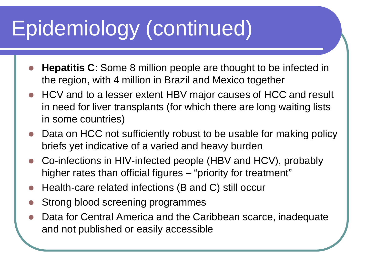# Epidemiology (continued)

- **Hepatitis C**: Some 8 million people are thought to be infected in the region, with 4 million in Brazil and Mexico together
- HCV and to a lesser extent HBV major causes of HCC and result in need for liver transplants (for which there are long waiting lists in some countries)
- Data on HCC not sufficiently robust to be usable for making policy briefs yet indicative of a varied and heavy burden
- Co-infections in HIV-infected people (HBV and HCV), probably higher rates than official figures – "priority for treatment"
- Health-care related infections (B and C) still occur
- Strong blood screening programmes
- Data for Central America and the Caribbean scarce, inadequate and not published or easily accessible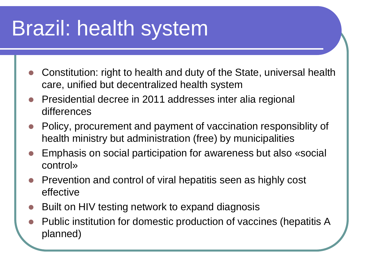### Brazil: health system

- Constitution: right to health and duty of the State, universal health care, unified but decentralized health system
- Presidential decree in 2011 addresses inter alia regional differences
- Policy, procurement and payment of vaccination responsiblity of health ministry but administration (free) by municipalities
- Emphasis on social participation for awareness but also «social control»
- Prevention and control of viral hepatitis seen as highly cost effective
- Built on HIV testing network to expand diagnosis
- Public institution for domestic production of vaccines (hepatitis A planned)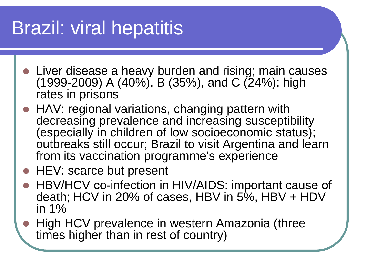#### Brazil: viral hepatitis

- Liver disease a heavy burden and rising; main causes (1999-2009) A (40%), B (35%), and C (24%); high rates in prisons
- HAV: regional variations, changing pattern with decreasing prevalence and increasing susceptibility (especially in children of low socioeconomic status); outbreaks still occur; Brazil to visit Argentina and learn from its vaccination programme's experience
- HEV: scarce but present
- HBV/HCV co-infection in HIV/AIDS: important cause of death; HCV in 20% of cases, HBV in 5%, HBV + HDV in 1%
- High HCV prevalence in western Amazonia (three times higher than in rest of country)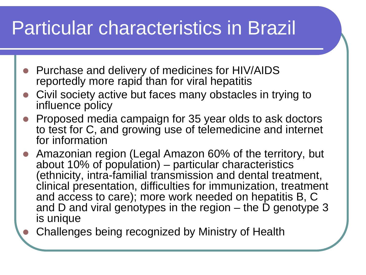#### Particular characteristics in Brazil

- Purchase and delivery of medicines for HIV/AIDS reportedly more rapid than for viral hepatitis
- Civil society active but faces many obstacles in trying to influence policy
- Proposed media campaign for 35 year olds to ask doctors to test for C, and growing use of telemedicine and internet for information
- Amazonian region (Legal Amazon 60% of the territory, but about 10% of population) – particular characteristics (ethnicity, intra-familial transmission and dental treatment, clinical presentation, difficulties for immunization, treatment and access to care); more work needed on hepatitis B, C and D and viral genotypes in the region  $-$  the D genotype 3 is unique
	- Challenges being recognized by Ministry of Health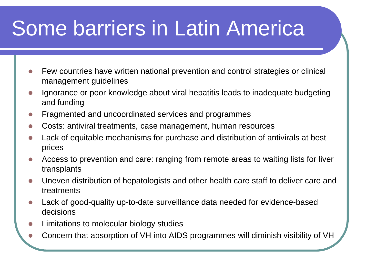## Some barriers in Latin America

- Few countries have written national prevention and control strategies or clinical management guidelines
- Ignorance or poor knowledge about viral hepatitis leads to inadequate budgeting and funding
- Fragmented and uncoordinated services and programmes
- Costs: antiviral treatments, case management, human resources
- Lack of equitable mechanisms for purchase and distribution of antivirals at best prices
- Access to prevention and care: ranging from remote areas to waiting lists for liver transplants
- Uneven distribution of hepatologists and other health care staff to deliver care and treatments
- Lack of good-quality up-to-date surveillance data needed for evidence-based decisions
- Limitations to molecular biology studies
- Concern that absorption of VH into AIDS programmes will diminish visibility of VH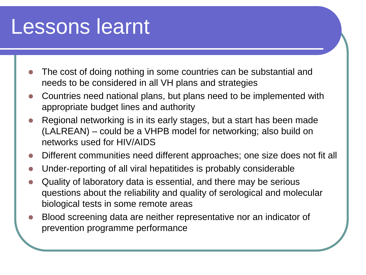#### Lessons learnt

- The cost of doing nothing in some countries can be substantial and needs to be considered in all VH plans and strategies
- Countries need national plans, but plans need to be implemented with appropriate budget lines and authority
- Regional networking is in its early stages, but a start has been made (LALREAN) – could be a VHPB model for networking; also build on networks used for HIV/AIDS
- Different communities need different approaches; one size does not fit all
- Under-reporting of all viral hepatitides is probably considerable
- Quality of laboratory data is essential, and there may be serious questions about the reliability and quality of serological and molecular biological tests in some remote areas
- Blood screening data are neither representative nor an indicator of prevention programme performance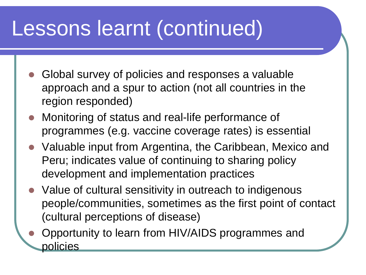### Lessons learnt (continued)

- Global survey of policies and responses a valuable approach and a spur to action (not all countries in the region responded)
- Monitoring of status and real-life performance of programmes (e.g. vaccine coverage rates) is essential
- Valuable input from Argentina, the Caribbean, Mexico and Peru; indicates value of continuing to sharing policy development and implementation practices
- Value of cultural sensitivity in outreach to indigenous people/communities, sometimes as the first point of contact (cultural perceptions of disease)
- Opportunity to learn from HIV/AIDS programmes and policies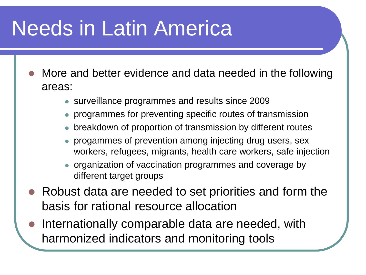### Needs in Latin America

- More and better evidence and data needed in the following areas:
	- surveillance programmes and results since 2009
	- programmes for preventing specific routes of transmission
	- breakdown of proportion of transmission by different routes
	- progammes of prevention among injecting drug users, sex workers, refugees, migrants, health care workers, safe injection
	- organization of vaccination programmes and coverage by different target groups
- Robust data are needed to set priorities and form the basis for rational resource allocation
- Internationally comparable data are needed, with harmonized indicators and monitoring tools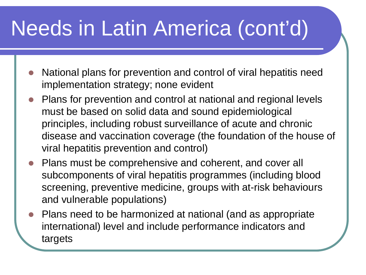# Needs in Latin America (cont'd)

- National plans for prevention and control of viral hepatitis need implementation strategy; none evident
- Plans for prevention and control at national and regional levels must be based on solid data and sound epidemiological principles, including robust surveillance of acute and chronic disease and vaccination coverage (the foundation of the house of viral hepatitis prevention and control)
- Plans must be comprehensive and coherent, and cover all subcomponents of viral hepatitis programmes (including blood screening, preventive medicine, groups with at-risk behaviours and vulnerable populations)
- Plans need to be harmonized at national (and as appropriate international) level and include performance indicators and targets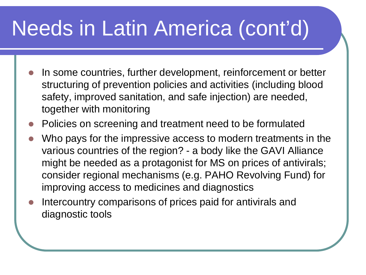# Needs in Latin America (cont'd)

- In some countries, further development, reinforcement or better structuring of prevention policies and activities (including blood safety, improved sanitation, and safe injection) are needed, together with monitoring
- Policies on screening and treatment need to be formulated
- Who pays for the impressive access to modern treatments in the various countries of the region? - a body like the GAVI Alliance might be needed as a protagonist for MS on prices of antivirals; consider regional mechanisms (e.g. PAHO Revolving Fund) for improving access to medicines and diagnostics
- Intercountry comparisons of prices paid for antivirals and diagnostic tools